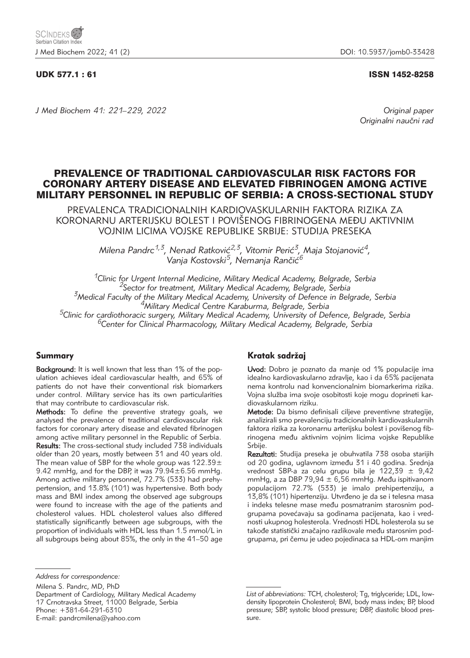# UDK 577.1 : 61 ISSN 1452-8258

*J Med Biochem 41: 221–229, 2022 Original paper*

Originalni naučni rad

# PREVALENCE OF TRADITIONAL CARDIOVASCULAR RISK FACTORS FOR CORONARY ARTERY DISEASE AND ELEVATED FIBRINOGEN AMONG ACTIVE MILITARY PERSONNEL IN REPUBLIC OF SERBIA: A CROSS-SECTIONAL STUDY

PREVALENCA TRADICIONALNIH KARDIOVASKULARNIH FAKTORA RIZIKA ZA KORONARNU ARTERIJSKU BOLEST I POVIŠENOG FIBRINOGENA MEĐU AKTIVNIM VOJNIM LICIMA VOJSKE REPUBLIKE SRBIJE: STUDIJA PRESEKA

> Milena Pandrc<sup>1,3</sup>, Nenad Ratković<sup>2,3</sup>, Vitomir Perić<sup>3</sup>, Maja Stojanović<sup>4</sup>, Vanja Kostovski<sup>5</sup>, Nemanja Rančić<sup>6</sup>

<sup>1</sup>Clinic for Urgent Internal Medicine, Military Medical Academy, Belgrade, Serbia<br><sup>2</sup>Sector for treatment, Military Medical Academy, Belgrade, Serbia<br><sup>3</sup>Medical Faculty of the Military Medical Academy, University of Defe

# Summary

Background: It is well known that less than 1% of the population achieves ideal cardiovascular health, and 65% of patients do not have their conventional risk biomarkers under control. Military service has its own particularities that may contribute to cardiovascular risk.

Methods: To define the preventive strategy goals, we analysed the prevalence of traditional cardiovascular risk factors for coronary artery disease and elevated fibrinogen among active military personnel in the Republic of Serbia. Results: The cross-sectional study included 738 individuals older than 20 years, mostly between 31 and 40 years old. The mean value of SBP for the whole group was  $122.39 \pm$ 9.42 mmHg, and for the DBP, it was 79.94±6.56 mmHg. Among active military personnel, 72.7% (533) had prehypertension, and 13.8% (101) was hypertensive. Both body mass and BMI index among the observed age subgroups were found to increase with the age of the patients and cholesterol values. HDL cholesterol values also differed statistically significantly between age subgroups, with the proportion of individuals with HDL less than 1.5 mmol/L in all subgroups being about 85%, the only in the 41–50 age

# Kratak sadržaj

Uvod: Dobro je poznato da manje od 1% populacije ima idealno kardiovaskularno zdravlje, kao i da 65% pacijenata nema kontrolu nad konvencionalnim biomarkerima rizika. Vojna služba ima svoje osobitosti koje mogu doprineti kardiovaskularnom riziku.

Metode: Da bismo definisali ciljeve preventivne strategije, analizirali smo prevalenciju tradicionalnih kardiovaskularnih faktora rizika za koronarnu arterijsku bolest i povišenog fibrinogena među aktivnim vojnim licima vojske Republike Srbije.

Rezultati: Studija preseka je obuhvatila 738 osoba starijih od 20 godina, uglavnom između 31 i 40 godina. Srednja vrednost SBP-a za celu grupu bila je 122,39  $\pm$  9,42 mmHg, a za DBP 79,94  $\pm$  6,56 mmHg. Među ispitivanom populacijom 72.7% (533) je imalo prehipertenziju, a 13,8% (101) hipertenziju. Utvrđeno je da se i telesna masa i indeks telesne mase među posmatranim starosnim podgrupama povećavaju sa godinama pacijenata, kao i vrednosti ukupnog holesterola. Vrednosti HDL holesterola su se takođe statistički značajno razlikovale među starosnim podgrupama, pri čemu je udeo pojedinaca sa HDL-om manjim

Milena S. Pandrc, MD, PhD Department of Cardiology, Military Medical Academy 17 Crnotravska Street, 11000 Belgrade, Serbia Phone: +381-64-291-6310 E-mail: pandrcmilena@yahoo.com

*Address for correspondence:*

*List of abbreviations:* TCH, cholesterol; Tg, triglyceride; LDL, lowdensity lipoprotein Cholesterol; BMI, body mass index; BP, blood pressure; SBP, systolic blood pressure; DBP, diastolic blood pressure.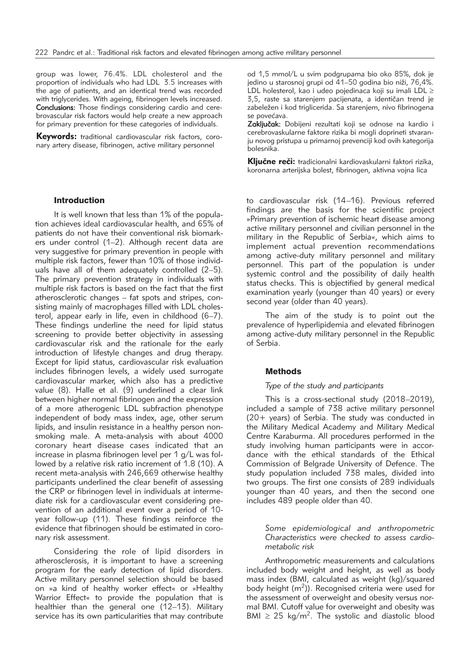group was lower, 76.4%. LDL cholesterol and the proportion of individuals who had LDL 3.5 increases with the age of patients, and an identical trend was recorded with triglycerides. With ageing, fibrinogen levels increased. Conclusions: Those findings considering cardio and cerebrovascular risk factors would help create a new approach for primary prevention for these categories of individuals.

Keywords: traditional cardiovascular risk factors, coronary artery disease, fibrinogen, active military personnel

# Introduction

It is well known that less than 1% of the population achieves ideal cardiovascular health, and 65% of patients do not have their conventional risk biomarkers under control (1–2). Although recent data are very suggestive for primary prevention in people with multiple risk factors, fewer than 10% of those individuals have all of them adequately controlled (2–5). The primary prevention strategy in individuals with multiple risk factors is based on the fact that the first atherosclerotic changes – fat spots and stripes, consisting mainly of macrophages filled with LDL cholesterol, appear early in life, even in childhood (6–7). These findings underline the need for lipid status screening to provide better objectivity in assessing cardiovascular risk and the rationale for the early introduction of lifestyle changes and drug therapy. Except for lipid status, cardiovascular risk evaluation includes fibrinogen levels, a widely used surrogate cardiovascular marker, which also has a predictive value (8). Halle et al. (9) underlined a clear link between higher normal fibrinogen and the expression of a more atherogenic LDL subfraction phenotype independent of body mass index, age, other serum lipids, and insulin resistance in a healthy person nonsmoking male. A meta-analysis with about 4000 coronary heart disease cases indicated that an increase in plasma fibrinogen level per 1 g/L was followed by a relative risk ratio increment of 1.8 (10). A recent meta-analysis with 246,669 otherwise healthy participants underlined the clear benefit of assessing the CRP or fibrinogen level in individuals at intermediate risk for a cardiovascular event considering prevention of an additional event over a period of 10 year follow-up (11). These findings reinforce the evidence that fibrinogen should be estimated in coronary risk assessment.

Considering the role of lipid disorders in atherosclerosis, it is important to have a screening program for the early detection of lipid disorders. Active military personnel selection should be based on »a kind of healthy worker effect« or »Healthy Warrior Effect« to provide the population that is healthier than the general one (12–13). Military service has its own particularities that may contribute

od 1,5 mmol/L u svim podgrupama bio oko 85%, dok je jedino u starosnoj grupi od 41–50 godina bio niži, 76,4%. LDL holesterol, kao i udeo pojedinaca koji su imali LDL  $\geq$ 3,5, raste sa starenjem pacijenata, a identičan trend je zabeležen i kod triglicerida. Sa starenjem, nivo fibrinogena se povećava.

Zaključak: Dobijeni rezultati koji se odnose na kardio i cerebrovaskularne faktore rizika bi mogli doprineti stvaranju novog pristupa u primarnoj prevenciji kod ovih kategorija bolesnika.

Kliučne reči: tradicionalni kardiovaskularni faktori rizika, koronarna arterijska bolest, fibrinogen, aktivna vojna lica

to cardiovascular risk (14–16). Previous referred findings are the basis for the scientific project »Primary prevention of ischemic heart disease among active military personnel and civilian personnel in the military in the Republic of Serbia«, which aims to implement actual prevention recommendations among active-duty military personnel and military personnel. This part of the population is under systemic control and the possibility of daily health status checks. This is objectified by general medical examination yearly (younger than 40 years) or every second year (older than 40 years).

The aim of the study is to point out the prevalence of hyperlipidemia and elevated fibrinogen among active-duty military personnel in the Republic of Serbia.

## Methods

# *Type of the study and participants*

This is a cross-sectional study (2018–2019), included a sample of 738 active military personnel (20+ years) of Serbia. The study was conducted in the Military Medical Academy and Military Medical Centre Karaburma. All procedures performed in the study involving human participants were in accordance with the ethical standards of the Ethical Commission of Belgrade University of Defence. The study population included 738 males, divided into two groups. The first one consists of 289 individuals younger than 40 years, and then the second one includes 489 people older than 40.

## *Some epidemiological and anthropometric Characteristics were checked to assess cardio metabolic risk*

Anthropometric measurements and calculations included body weight and height, as well as body mass index (BMI, calculated as weight (kg)/squared body height  $(m<sup>2</sup>)$ ). Recognised criteria were used for the assessment of overweight and obesity versus normal BMI. Cutoff value for overweight and obesity was BMI  $\geq$  25 kg/m<sup>2</sup>. The systolic and diastolic blood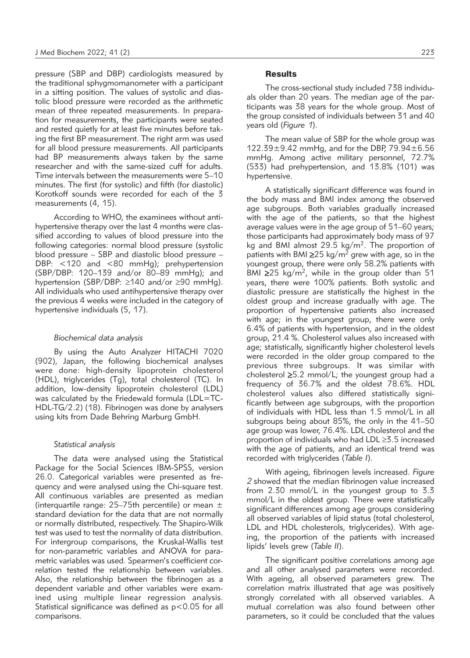pressure (SBP and DBP) cardiologists measured by the traditional sphygmomanometer with a participant in a sitting position. The values of systolic and diastolic blood pressure were recorded as the arithmetic mean of three repeated measurements. In preparation for measurements, the participants were seated and rested quietly for at least five minutes before taking the first BP measurement. The right arm was used for all blood pressure measurements. All participants had BP measurements always taken by the same researcher and with the same-sized cuff for adults. Time intervals between the measurements were 5–10 minutes. The first (for systolic) and fifth (for diastolic) Korotkoff sounds were recorded for each of the 3 measurements (4, 15).

According to WHO, the examinees without antihypertensive therapy over the last 4 months were classified according to values of blood pressure into the following categories: normal blood pressure (systolic blood pressure – SBP and diastolic blood pressure – DBP: <120 and <80 mmHg); prehypertension (SBP/DBP: 120–139 and/or 80–89 mmHg); and hypertension (SBP/DBP:  $\geq$ 140 and/or  $\geq$ 90 mmHg). All individuals who used antihypertensive therapy over the previous 4 weeks were included in the category of hypertensive individuals (5, 17).

#### *Biochemical data analysis*

By using the Auto Analyzer HITACHI 7020 (902), Japan, the following biochemical analyses were done: high-density lipoprotein cholesterol (HDL), triglycerides (Tg), total cholesterol (TC). In addition, low-density lipoprotein cholesterol (LDL) was calculated by the Friedewald formula (LDL=TC-HDL-TG/2.2) (18). Fibrinogen was done by analysers using kits from Dade Behring Marburg GmbH.

#### *Statistical analysis*

The data were analysed using the Statistical Package for the Social Sciences IBM-SPSS, version 26.0. Categorical variables were presented as frequency and were analysed using the Chi-square test. All continuous variables are presented as median (interquartile range: 25–75th percentile) or mean  $\pm$ standard deviation for the data that are not normally or normally distributed, respectively. The Shapiro-Wilk test was used to test the normality of data distribution. For intergroup comparisons, the Kruskal-Wallis test for non-parametric variables and ANOVA for parametric variables was used. Spearmen's coefficient correlation tested the relationship between variables. Also, the relationship between the fibrinogen as a dependent variable and other variables were examined using multiple linear regression analysis. Statistical significance was defined as p<0.05 for all comparisons.

#### **Results**

The cross-sectional study included 738 individuals older than 20 years. The median age of the participants was 38 years for the whole group. Most of the group consisted of individuals between 31 and 40 years old (*Figure 1*).

The mean value of SBP for the whole group was 122.39±9.42 mmHg, and for the DBP, 79.94±6.56 mmHg. Among active military personnel, 72.7% (533) had prehypertension, and 13.8% (101) was hypertensive.

A statistically significant difference was found in the body mass and BMI index among the observed age subgroups. Both variables gradually increased with the age of the patients, so that the highest average values were in the age group of 51–60 years; those participants had approximately body mass of 97 kg and BMI almost  $29.5 \text{ kg/m}^2$ . The proportion of patients with BMI  $\geq$ 25 kg/m<sup>2</sup> grew with age, so in the youngest group, there were only 58.2% patients with BMI  $\geq$ 25 kg/m<sup>2</sup>, while in the group older than 51 years, there were 100% patients. Both systolic and diastolic pressure are statistically the highest in the oldest group and increase gradually with age. The proportion of hypertensive patients also increased with age; in the youngest group, there were only 6.4% of patients with hypertension, and in the oldest group, 21.4 %. Cholesterol values also increased with age; statistically, significantly higher cholesterol levels were recorded in the older group compared to the previous three subgroups. It was similar with cholesterol  $\geq 5.2$  mmol/L; the youngest group had a frequency of 36.7% and the oldest 78.6%. HDL cholesterol values also differed statistically significantly between age subgroups, with the proportion of individuals with HDL less than 1.5 mmol/L in all subgroups being about 85%, the only in the 41–50 age group was lower, 76.4%. LDL cholesterol and the proportion of individuals who had  $LDL \geq 3.5$  increased with the age of patients, and an identical trend was recorded with triglycerides (*Table I*).

With ageing, fibrinogen levels increased. *Figure 2* showed that the median fibrinogen value increased from 2.30 mmol/L in the youngest group to 3.3 mmol/L in the oldest group. There were statistically significant differences among age groups considering all observed variables of lipid status (total cholesterol, LDL and HDL cholesterols, triglycerides). With ageing, the proportion of the patients with increased lipids' levels grew (*Table II*).

The significant positive correlations among age and all other analysed parameters were recorded. With ageing, all observed parameters grew. The correlation matrix illustrated that age was positively strongly correlated with all observed variables. A mutual correlation was also found between other parameters, so it could be concluded that the values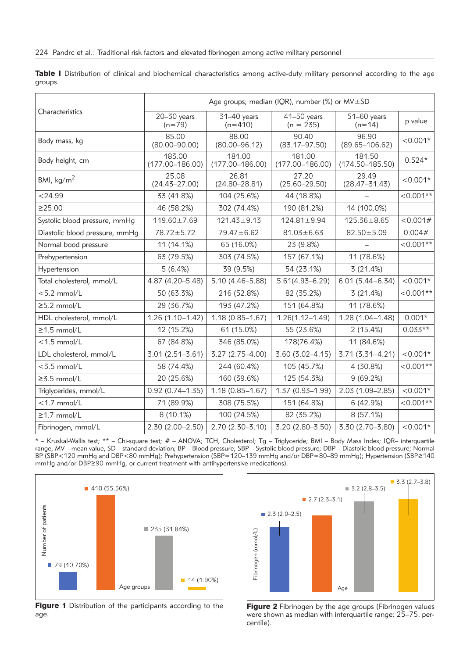Table I Distribution of clinical and biochemical characteristics among active-duty military personnel according to the age groups.

|                                |                               | Age groups; median (IQR), number (%) or MV±SD |                               |                               |            |  |  |
|--------------------------------|-------------------------------|-----------------------------------------------|-------------------------------|-------------------------------|------------|--|--|
| Characteristics                | $20 - 30$ years<br>$(n=79)$   | $31-40$ years<br>$(n=410)$                    | $41-50$ years<br>$(n = 235)$  | $51-60$ years<br>$(n=14)$     | p value    |  |  |
| Body mass, kg                  | 85.00<br>$(80.00 - 90.00)$    | 88.00<br>$(80.00 - 96.12)$                    | 90.40<br>$(83.17 - 97.50)$    | 96.90<br>$(89.65 - 106.62)$   | $< 0.001*$ |  |  |
| Body height, cm                | 183.00<br>$(177.00 - 186.00)$ | 181.00<br>$(177.00 - 186.00)$                 | 181.00<br>$(177.00 - 186.00)$ | 181.50<br>$(174.50 - 185.50)$ | $0.524*$   |  |  |
| BMI, $\text{kg/m}^2$           | 25.08<br>$(24.43 - 27.00)$    | 26.81<br>$(24.80 - 28.81)$                    | 27.20<br>$(25.60 - 29.50)$    | 29.49<br>$(28.47 - 31.43)$    | $< 0.001*$ |  |  |
| $<$ 24.99                      | 33 (41.8%)                    | 104 (25.6%)                                   | 44 (18.8%)                    |                               | $<0.001**$ |  |  |
| ≥25.00                         | 46 (58.2%)                    | 302 (74.4%)                                   | 190 (81.2%)                   | 14 (100.0%)                   |            |  |  |
| Systolic blood pressure, mmHg  | 119.60±7.69                   | $121.43 \pm 9.13$                             | $124.81 \pm 9.94$             | $125.36 \pm 8.65$             | < 0.001#   |  |  |
| Diastolic blood pressure, mmHg | 78.72±5.72                    | $79.47 \pm 6.62$                              | $81.03 \pm 6.63$              | $82.50 \pm 5.09$              | 0.004#     |  |  |
| Normal bood pressure           | 11 (14.1%)                    | 65 (16.0%)                                    | 23 (9.8%)                     |                               | $<0.001**$ |  |  |
| Prehypertension                | 63 (79.5%)                    | 303 (74.5%)                                   | 157 (67.1%)                   | 11 (78.6%)                    |            |  |  |
| Hypertension                   | 5(6.4%)                       | 39 (9.5%)                                     | 54 (23.1%)                    | 3(21.4%)                      |            |  |  |
| Total cholesterol, mmol/L      | 4.87 (4.20-5.48)              | 5.10 (4.46-5.88)                              | $5.61(4.93 - 6.29)$           | $6.01(5.44 - 6.34)$           | $< 0.001*$ |  |  |
| $< 5.2$ mmol/L                 | 50 (63.3%)                    | 216 (52.8%)                                   | 82 (35.2%)                    | 3(21.4%)                      | $<0.001**$ |  |  |
| $\geq$ 5.2 mmol/L              | 29 (36.7%)                    | 193 (47.2%)                                   | 151 (64.8%)                   | 11 (78.6%)                    |            |  |  |
| HDL cholesterol, mmol/L        | $1.26(1.10 - 1.42)$           | $1.18(0.85 - 1.67)$                           | $1.26(1.12 - 1.49)$           | $1.28(1.04 - 1.48)$           | $0.001*$   |  |  |
| $\geq$ 1.5 mmol/L              | 12 (15.2%)                    | 61 (15.0%)                                    | 55 (23.6%)                    | 2(15.4%)                      | $0.033**$  |  |  |
| $<$ 1.5 mmol/L                 | 67 (84.8%)                    | 346 (85.0%)                                   | 178(76.4%)                    | 11 (84.6%)                    |            |  |  |
| LDL cholesterol, mmol/L        | $3.01(2.51 - 3.61)$           | 3.27 (2.75-4.00)                              | $3.60(3.02 - 4.15)$           | $3.71(3.31 - 4.21)$           | $< 0.001*$ |  |  |
| $<$ 3.5 mmol/L                 | 58 (74.4%)                    | 244 (60.4%)                                   | 105 (45.7%)                   | 4 (30.8%)                     | $<0.001**$ |  |  |
| $\geq$ 3.5 mmol/L              | 20 (25.6%)                    | 160 (39.6%)                                   | 125 (54.3%)                   | 9(69.2%)                      |            |  |  |
| Triglycerides, mmol/L          | $0.92(0.74 - 1.35)$           | $1.18(0.85 - 1.67)$                           | $1.37(0.93 - 1.99)$           | 2.03 (1.09-2.85)              | $< 0.001*$ |  |  |
| $<$ 1.7 mmol/L                 | 71 (89.9%)                    | 308 (75.5%)                                   | 151 (64.8%)                   | 6 (42.9%)                     | $<0.001**$ |  |  |
| $\geq$ 1.7 mmol/L              | 8 (10.1%)                     | 100 (24.5%)                                   | 82 (35.2%)                    | 8(57.1%)                      |            |  |  |
| Fibrinogen, mmol/L             | $2.30(2.00 - 2.50)$           | $2.70(2.30 - 3.10)$                           | 3.20 (2.80-3.50)              | 3.30 (2.70-3.80)              | $< 0.001*$ |  |  |

\* – Kruskal-Wallis test; \*\* – Chi-square test; # – ANOVA; TCH, Cholesterol; Tg – Triglyceride; BMI – Body Mass Index; IQR– interquartile range, MV – mean value, SD – standard deviation; BP – Blood pressure; SBP – Systolic blood pressure; DBP – Diastolic blood pressure; Normal BP (SBP<120 mmHg and DBP<80 mmHg); Prehypertension (SBP=120–139 mmHg and/or DBP=80–89 mmHg); Hypertension (SBP≥140 mmHg and/or DBP≥90 mmHg, or current treatment with antihypertensive medications).



Figure 1 Distribution of the participants according to the age.



Figure 2 Fibrinogen by the age groups (Fibrinogen values were shown as median with interquartile range: 25–75. percentile).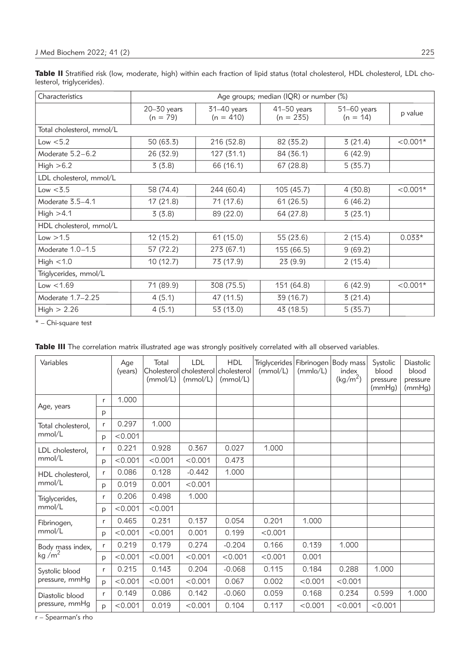Table II Stratified risk (low, moderate, high) within each fraction of lipid status (total cholesterol, HDL cholesterol, LDL cholesterol, triglycerides).

| Characteristics           | Age groups; median (IQR) or number (%) |                            |                            |                             |            |  |  |  |
|---------------------------|----------------------------------------|----------------------------|----------------------------|-----------------------------|------------|--|--|--|
|                           | $20 - 30$ years<br>$(n = 79)$          | 31-40 years<br>$(n = 410)$ | 41-50 years<br>$(n = 235)$ | $51-60$ years<br>$(n = 14)$ | p value    |  |  |  |
| Total cholesterol, mmol/L |                                        |                            |                            |                             |            |  |  |  |
| Low $< 5.2$               | 50 (63.3)                              | 216 (52.8)                 | 82 (35.2)                  | 3(21.4)                     | $< 0.001*$ |  |  |  |
| Moderate 5.2-6.2          | 26 (32.9)                              | 127(31.1)                  | 84 (36.1)                  | 6(42.9)                     |            |  |  |  |
| High $>6.2$               | 3(3.8)                                 | 66 (16.1)                  | 67 (28.8)                  | 5(35.7)                     |            |  |  |  |
| LDL cholesterol, mmol/L   |                                        |                            |                            |                             |            |  |  |  |
| Low < 3.5                 | 58 (74.4)                              | 244 (60.4)                 | 105 (45.7)                 | 4(30.8)                     | $< 0.001*$ |  |  |  |
| Moderate 3.5-4.1          | 17(21.8)                               | 71 (17.6)                  | 61(26.5)                   | 6(46.2)                     |            |  |  |  |
| High $>4.1$               | 3(3.8)                                 | 89 (22.0)                  | 64 (27.8)                  | 3(23.1)                     |            |  |  |  |
| HDL cholesterol, mmol/L   |                                        |                            |                            |                             |            |  |  |  |
| Low > 1.5                 | 12 (15.2)                              | 61 (15.0)                  | 55 (23.6)                  | 2(15.4)                     | $0.033*$   |  |  |  |
| Moderate 1.0-1.5          | 57 (72.2)                              | 273 (67.1)                 | 155 (66.5)                 | 9(69.2)                     |            |  |  |  |
| High $< 1.0$              | 10 (12.7)                              | 73 (17.9)                  | 23 (9.9)                   | 2(15.4)                     |            |  |  |  |
| Triglycerides, mmol/L     |                                        |                            |                            |                             |            |  |  |  |
| Low < 1.69                | 71 (89.9)                              | 308 (75.5)                 | 151 (64.8)                 | 6(42.9)                     | $< 0.001*$ |  |  |  |
| Moderate 1.7-2.25         | 4(5.1)                                 | 47 (11.5)                  | 39 (16.7)                  | 3(21.4)                     |            |  |  |  |
| High > 2.26               | 4(5.1)                                 | 53 (13.0)                  | 43 (18.5)                  | 5(35.7)                     |            |  |  |  |

\* – Chi-square test

|  |  |  |  | Table III The correlation matrix illustrated age was strongly positively correlated with all observed variables. |  |  |
|--|--|--|--|------------------------------------------------------------------------------------------------------------------|--|--|
|  |  |  |  |                                                                                                                  |  |  |

| Variables                        |   | Age<br>(years) | Total<br>(mmol/L) | <b>LDL</b><br>Cholesterol cholesterol cholesterol<br>(mmol/L) | <b>HDL</b><br>(mmol/L) | <b>Triglycerides</b><br>(mmol/L) | Fibrinogen<br>(mmlo/L) | Body mass<br>index<br>(kg/m <sup>2</sup> ) | Systolic<br>blood<br>pressure<br>(mmHg) | <b>Diastolic</b><br>blood<br>pressure<br>(mmHg) |
|----------------------------------|---|----------------|-------------------|---------------------------------------------------------------|------------------------|----------------------------------|------------------------|--------------------------------------------|-----------------------------------------|-------------------------------------------------|
| Age, years                       | r | 1.000          |                   |                                                               |                        |                                  |                        |                                            |                                         |                                                 |
|                                  | p |                |                   |                                                               |                        |                                  |                        |                                            |                                         |                                                 |
| Total cholesterol,               | r | 0.297          | 1.000             |                                                               |                        |                                  |                        |                                            |                                         |                                                 |
| mmol/L                           | p | < 0.001        |                   |                                                               |                        |                                  |                        |                                            |                                         |                                                 |
| LDL cholesterol,                 | r | 0.221          | 0.928             | 0.367                                                         | 0.027                  | 1.000                            |                        |                                            |                                         |                                                 |
| mmol/L                           | p | < 0.001        | < 0.001           | < 0.001                                                       | 0.473                  |                                  |                        |                                            |                                         |                                                 |
| HDL cholesterol,                 | r | 0.086          | 0.128             | $-0.442$                                                      | 1.000                  |                                  |                        |                                            |                                         |                                                 |
| mmol/L                           | p | 0.019          | 0.001             | < 0.001                                                       |                        |                                  |                        |                                            |                                         |                                                 |
| Triglycerides,                   | r | 0.206          | 0.498             | 1.000                                                         |                        |                                  |                        |                                            |                                         |                                                 |
| mmol/L                           | p | < 0.001        | < 0.001           |                                                               |                        |                                  |                        |                                            |                                         |                                                 |
| Fibrinogen,                      | r | 0.465          | 0.231             | 0.137                                                         | 0.054                  | 0.201                            | 1.000                  |                                            |                                         |                                                 |
| mmol/L                           | p | < 0.001        | < 0.001           | 0.001                                                         | 0.199                  | < 0.001                          |                        |                                            |                                         |                                                 |
| Body mass index,                 | r | 0.219          | 0.179             | 0.274                                                         | $-0.204$               | 0.166                            | 0.139                  | 1.000                                      |                                         |                                                 |
| kg/m <sup>2</sup>                | p | < 0.001        | < 0.001           | < 0.001                                                       | < 0.001                | < 0.001                          | 0.001                  |                                            |                                         |                                                 |
| Systolic blood<br>pressure, mmHg | r | 0.215          | 0.143             | 0.204                                                         | $-0.068$               | 0.115                            | 0.184                  | 0.288                                      | 1.000                                   |                                                 |
|                                  | D | < 0.001        | < 0.001           | < 0.001                                                       | 0.067                  | 0.002                            | < 0.001                | < 0.001                                    |                                         |                                                 |
| Diastolic blood                  | r | 0.149          | 0.086             | 0.142                                                         | $-0.060$               | 0.059                            | 0.168                  | 0.234                                      | 0.599                                   | 1.000                                           |
| pressure, mmHq                   | D | < 0.001        | 0.019             | < 0.001                                                       | 0.104                  | 0.117                            | < 0.001                | < 0.001                                    | < 0.001                                 |                                                 |

r – Spearman's rho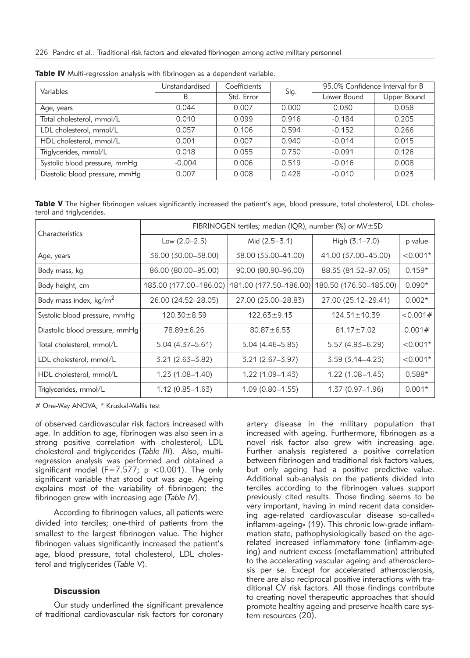| Variables                      | Unstandardised | Coefficients | Sig.  | 95.0% Confidence Interval for B |             |  |
|--------------------------------|----------------|--------------|-------|---------------------------------|-------------|--|
|                                | B              | Std. Error   |       | Lower Bound                     | Upper Bound |  |
| Age, years                     | 0.044          | 0.007        | 0.000 | 0.030                           | 0.058       |  |
| Total cholesterol, mmol/L      | 0.010          | 0.099        | 0.916 | $-0.184$                        | 0.205       |  |
| LDL cholesterol, mmol/L        | 0.057          | 0.106        | 0.594 | $-0.152$                        | 0.266       |  |
| HDL cholesterol, mmol/L        | 0.001          | 0.007        | 0.940 | $-0.014$                        | 0.015       |  |
| Triglycerides, mmol/L          | 0.018          | 0.055        | 0.750 | $-0.091$                        | 0.126       |  |
| Systolic blood pressure, mmHg  | $-0.004$       | 0.006        | 0.519 | $-0.016$                        | 0.008       |  |
| Diastolic blood pressure, mmHg | 0.007          | 0.008        | 0.428 | $-0.010$                        | 0.023       |  |

Table IV Multi-regression analysis with fibrinogen as a dependent variable.

Table V The higher fibrinogen values significantly increased the patient's age, blood pressure, total cholesterol, LDL cholesterol and triglycerides.

| Characteristics                  | FIBRINOGEN tertiles; median (IQR), number (%) or MV±SD |                        |                        |            |  |  |  |
|----------------------------------|--------------------------------------------------------|------------------------|------------------------|------------|--|--|--|
|                                  | Low $(2.0-2.5)$<br>Mid (2.5-3.1)                       |                        | High $(3.1 - 7.0)$     | p value    |  |  |  |
| Age, years                       | 36.00 (30.00-38.00)                                    | 38.00 (35.00-41.00)    | 41.00 (37.00-45.00)    | $< 0.001*$ |  |  |  |
| Body mass, kg                    | 86.00 (80.00-95.00)                                    | 90.00 (80.90-96.00)    | 88.35 (81.52-97.05)    | $0.159*$   |  |  |  |
| Body height, cm                  | 183.00 (177.00–186.00)                                 | 181.00 (177.50–186.00) | 180.50 (176.50–185.00) | $0.090*$   |  |  |  |
| Body mass index, $\text{kg/m}^2$ | 26.00 (24.52–28.05)                                    | 27.00 (25.00–28.83)    | 27.00 (25.12-29.41)    | $0.002*$   |  |  |  |
| Systolic blood pressure, mmHg    | $120.30 \pm 8.59$                                      | $122.63 \pm 9.13$      | $124.51 \pm 10.39$     | < 0.001#   |  |  |  |
| Diastolic blood pressure, mmHg   | 78.89±6.26                                             | $80.87 \pm 6.53$       | $81.17 \pm 7.02$       | 0.001#     |  |  |  |
| Total cholesterol, mmol/L        | $5.04(4.37 - 5.61)$                                    | 5.04 (4.46 - 5.85)     | $5.57(4.93 - 6.29)$    | $< 0.001*$ |  |  |  |
| LDL cholesterol, mmol/L          | $3.21(2.63 - 3.82)$                                    | $3.21(2.67 - 3.97)$    | $3.59(3.14 - 4.23)$    | $< 0.001*$ |  |  |  |
| HDL cholesterol, mmol/L          | $1.23(1.08-1.40)$                                      | $1.22(1.09 - 1.43)$    | $1.22(1.08 - 1.45)$    | $0.588*$   |  |  |  |
| Triglycerides, mmol/L            | $1.12(0.85-1.63)$                                      | $1.09(0.80 - 1.55)$    | $1.37(0.97-1.96)$      | $0.001*$   |  |  |  |

# One-Way ANOVA; \* Kruskal-Wallis test

of observed cardiovascular risk factors increased with age. In addition to age, fibrinogen was also seen in a strong positive correlation with cholesterol, LDL cholesterol and triglycerides (*Table III*). Also, multiregression analysis was performed and obtained a significant model (F=7.577;  $p$  <0.001). The only significant variable that stood out was age. Ageing explains most of the variability of fibrinogen; the fibrinogen grew with increasing age (*Table IV*).

According to fibrinogen values, all patients were divided into terciles; one-third of patients from the smallest to the largest fibrinogen value. The higher fibrinogen values significantly increased the patient's age, blood pressure, total cholesterol, LDL cholesterol and triglycerides (*Table V*).

# **Discussion**

Our study underlined the significant prevalence of traditional cardiovascular risk factors for coronary artery disease in the military population that increased with ageing. Furthermore, fibrinogen as a novel risk factor also grew with increasing age. Further analysis registered a positive correlation between fibrinogen and traditional risk factors values, but only ageing had a positive predictive value. Additional sub-analysis on the patients divided into terciles according to the fibrinogen values support previously cited results. Those finding seems to be very important, having in mind recent data considering age-related cardiovascular disease so-called« inflamm-ageing« (19). This chronic low-grade inflammation state, pathophysiologically based on the agerelated increased inflammatory tone (inflamm-ageing) and nutrient excess (metaflammation) attributed to the accelerating vascular ageing and atherosclerosis per se. Except for accelerated atherosclerosis, there are also reciprocal positive interactions with traditional CV risk factors. All those findings contribute to creating novel therapeutic approaches that should promote healthy ageing and preserve health care system resources (20).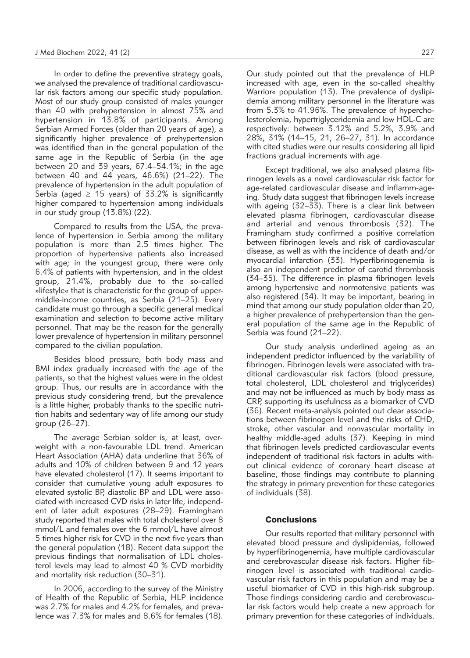In order to define the preventive strategy goals, we analysed the prevalence of traditional cardiovascular risk factors among our specific study population. Most of our study group consisted of males younger than 40 with prehypertension in almost 75% and hypertension in 13.8% of participants. Among Serbian Armed Forces (older than 20 years of age), a significantly higher prevalence of prehypertension was identified than in the general population of the same age in the Republic of Serbia (in the age between 20 and 39 years, 67.4–54.1%; in the age between 40 and 44 years, 46.6%) (21–22). The prevalence of hypertension in the adult population of Serbia (aged  $\geq$  15 years) of 33.2% is significantly higher compared to hypertension among individuals in our study group (13.8%) (22).

Compared to results from the USA, the prevalence of hypertension in Serbia among the military population is more than 2.5 times higher. The proportion of hypertensive patients also increased with age; in the youngest group, there were only 6.4% of patients with hypertension, and in the oldest group, 21.4%, probably due to the so-called »lifestyle« that is characteristic for the group of uppermiddle-income countries, as Serbia (21–25). Every candidate must go through a specific general medical examination and selection to become active military personnel. That may be the reason for the generally lower prevalence of hypertension in military personnel compared to the civilian population.

Besides blood pressure, both body mass and BMI index gradually increased with the age of the patients, so that the highest values were in the oldest group. Thus, our results are in accordance with the previous study considering trend, but the prevalence is a little higher, probably thanks to the specific nutrition habits and sedentary way of life among our study group (26–27).

The average Serbian solder is, at least, overweight with a non-favourable LDL trend. American Heart Association (AHA) data underline that 36% of adults and 10% of children between 9 and 12 years have elevated cholesterol (17). It seems important to consider that cumulative young adult exposures to elevated systolic BP, diastolic BP and LDL were associated with increased CVD risks in later life, independent of later adult exposures (28–29). Framingham study reported that males with total cholesterol over 8 mmol/L and females over the 6 mmol/L have almost 5 times higher risk for CVD in the next five years than the general population (18). Recent data support the previous findings that normalisation of LDL cholesterol levels may lead to almost 40 % CVD morbidity and mortality risk reduction (30–31).

In 2006, according to the survey of the Ministry of Health of the Republic of Serbia, HLP incidence was 2.7% for males and 4.2% for females, and prevalence was 7.3% for males and 8.6% for females (18).

Our study pointed out that the prevalence of HLP increased with age, even in the so-called »healthy Warrior« population (13). The prevalence of dyslipidemia among military personnel in the literature was from 5.3% to 41.96%. The prevalence of hypercholesterolemia, hypertriglyceridemia and low HDL-C are respectively: between 3.12% and 5.2%, 3.9% and 28%, 31% (14–15, 21, 26–27, 31). In accordance with cited studies were our results considering all lipid fractions gradual increments with age.

Except traditional, we also analysed plasma fibrinogen levels as a novel cardiovascular risk factor for age-related cardiovascular disease and inflamm-ageing. Study data suggest that fibrinogen levels increase with ageing (32–33). There is a clear link between elevated plasma fibrinogen, cardiovascular disease and arterial and venous thrombosis (32). The Framingham study confirmed a positive correlation between fibrinogen levels and risk of cardiovascular disease, as well as with the incidence of death and/or myocardial infarction (33). Hyperfibrinogenemia is also an independent predictor of carotid thrombosis (34–35). The difference in plasma fibrinogen levels among hypertensive and normotensive patients was also registered (34). It may be important, bearing in mind that among our study population older than 20, a higher prevalence of prehypertension than the general population of the same age in the Republic of Serbia was found (21–22).

Our study analysis underlined ageing as an independent predictor influenced by the variability of fibrinogen. Fibrinogen levels were associated with traditional cardiovascular risk factors (blood pressure, total cholesterol, LDL cholesterol and triglycerides) and may not be influenced as much by body mass as CRP, supporting its usefulness as a biomarker of CVD (36). Recent meta-analysis pointed out clear associations between fibrinogen level and the risks of CHD, stroke, other vascular and nonvascular mortality in healthy middle-aged adults (37). Keeping in mind that fibrinogen levels predicted cardiovascular events independent of traditional risk factors in adults without clinical evidence of coronary heart disease at baseline, those findings may contribute to planning the strategy in primary prevention for these categories of individuals (38).

### **Conclusions**

Our results reported that military personnel with elevated blood pressure and dyslipidemias, followed by hyperfibrinogenemia, have multiple cardiovascular and cerebrovascular disease risk factors. Higher fibrinogen level is associated with traditional cardiovascular risk factors in this population and may be a useful biomarker of CVD in this high-risk subgroup. Those findings considering cardio and cerebrovascular risk factors would help create a new approach for primary prevention for these categories of individuals.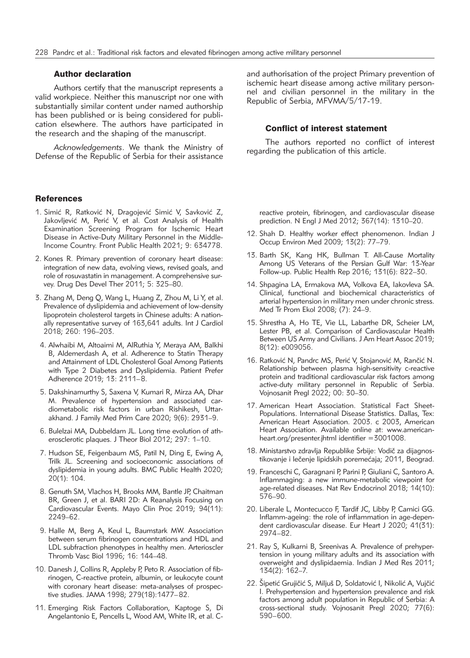## Author declaration

Authors certify that the manuscript represents a valid workpiece. Neither this manuscript nor one with substantially similar content under named authorship has been published or is being considered for publication elsewhere. The authors have participated in the research and the shaping of the manuscript.

*Acknowledgements*. We thank the Ministry of Defense of the Republic of Serbia for their assistance

#### **References**

- 1. Simić R, Ratković N, Dragojević Simić V, Savković Z, Jakovljević M, Perić V, et al. Cost Analysis of Health Examination Screening Program for Ischemic Heart Disease in Active-Duty Military Personnel in the Middle-Income Country. Front Public Health 2021; 9: 634778.
- 2. Kones R. Primary prevention of coronary heart disease: integration of new data, evolving views, revised goals, and role of rosuvastatin in management. A comprehensive survey. Drug Des Devel Ther 2011; 5: 325–80.
- 3. Zhang M, Deng Q, Wang L, Huang Z, Zhou M, Li Y, et al. Prevalence of dyslipidemia and achievement of low-density lipoprotein cholesterol targets in Chinese adults: A nationally representative survey of 163,641 adults. Int J Cardiol 2018; 260: 196–203.
- 4. Alwhaibi M, Altoaimi M, AlRuthia Y, Meraya AM, Balkhi B, Aldemerdash A, et al. Adherence to Statin Therapy and Attainment of LDL Cholesterol Goal Among Patients with Type 2 Diabetes and Dyslipidemia. Patient Prefer Adherence 2019; 13: 2111–8.
- 5. Dakshinamurthy S, Saxena V, Kumari R, Mirza AA, Dhar M. Prevalence of hypertension and associated cardiometabolic risk factors in urban Rishikesh, Uttarakhand. J Family Med Prim Care 2020; 9(6): 2931–9.
- 6. Bulelzai MA, Dubbeldam JL. Long time evolution of atherosclerotic plaques. J Theor Biol 2012; 297: 1–10.
- 7. Hudson SE, Feigenbaum MS, Patil N, Ding E, Ewing A, Trilk JL. Screening and socioeconomic associations of dyslipidemia in young adults. BMC Public Health 2020; 20(1): 104.
- 8. Genuth SM, Vlachos H, Brooks MM, Bantle JP, Chaitman BR, Green J, et al. BARI 2D: A Reanalysis Focusing on Cardiovascular Events. Mayo Clin Proc 2019; 94(11): 2249–62.
- 9. Halle M, Berg A, Keul L, Baumstark MW. Association between serum fibrinogen concentrations and HDL and LDL subfraction phenotypes in healthy men. Arterioscler Thromb Vasc Biol 1996; 16: 144–48.
- 10. Danesh J, Collins R, Appleby P, Peto R. Association of fibrinogen, C-reactive protein, albumin, or leukocyte count with coronary heart disease: meta-analyses of prospective studies. JAMA 1998; 279(18):1477–82.
- 11. Emerging Risk Factors Collaboration, Kaptoge S, Di Angelantonio E, Pencells L, Wood AM, White IR, et al. C-

and authorisation of the project Primary prevention of ischemic heart disease among active military personnel and civilian personnel in the military in the Republic of Serbia, MFVMA/5/17-19.

#### Conflict of interest statement

The authors reported no conflict of interest regarding the publication of this article.

reactive protein, fibrinogen, and cardiovascular disease prediction. N Engl J Med 2012; 367(14): 1310–20.

- 12. Shah D. Healthy worker effect phenomenon. Indian J Occup Environ Med 2009; 13(2): 77–79.
- 13. Barth SK, Kang HK, Bullman T. All-Cause Mortality Among US Veterans of the Persian Gulf War: 13-Year Follow-up. Public Health Rep 2016; 131(6): 822–30.
- 14. Shpagina LA, Ermakova MA, Volkova EA, Iakovleva SA. Clinical, functional and biochemical characteristics of arterial hypertension in military men under chronic stress. Med Tr Prom Ekol 2008; (7): 24–9.
- 15. Shrestha A, Ho TE, Vie LL, Labarthe DR, Scheier LM, Lester PB, et al. Comparison of Cardiovascular Health Between US Army and Civilians. J Am Heart Assoc 2019; 8(12): e009056.
- 16. Ratković N, Pandrc MS, Perić V, Stojanović M, Rančić N. Relationship between plasma high-sensitivity c-reactive protein and traditional cardiovascular risk factors among active-duty military personnel in Republic of Serbia. Vojnosanit Pregl 2022; 00: 30–30.
- 17. American Heart Association. Statistical Fact Sheet-Populations. International Disease Statistics. Dallas, Tex: American Heart Association. 2003. c 2003, American Heart Association. Available online at: www.americanheart.org/presenter.jhtml identifier =3001008.
- 18. Ministarstvo zdravlja Republike Srbije: Vodič za dijagnostikovanje i lečenje lipidskih poremećaja; 2011, Beograd.
- 19. Franceschi C, Garagnani P, Parini P, Giuliani C, Santoro A. Inflammaging: a new immune-metabolic viewpoint for age-related diseases. Nat Rev Endocrinol 2018; 14(10): 576–90.
- 20. Liberale L, Montecucco F, Tardif JC, Libby P, Camici GG. Inflamm-ageing: the role of inflammation in age-dependent cardiovascular disease. Eur Heart J 2020; 41(31): 2974–82.
- 21. Ray S, Kulkarni B, Sreenivas A. Prevalence of prehypertension in young military adults and its association with overweight and dyslipidaemia. Indian J Med Res 2011; 134(2): 162–7.
- 22. Šipetić Grujičić S, Miljuš D, Soldatović I, Nikolić A, Vujčić I. Prehypertension and hypertension prevalence and risk factors among adult population in Republic of Serbia: A cross-sectional study. Vojnosanit Pregl 2020; 77(6): 590–600.